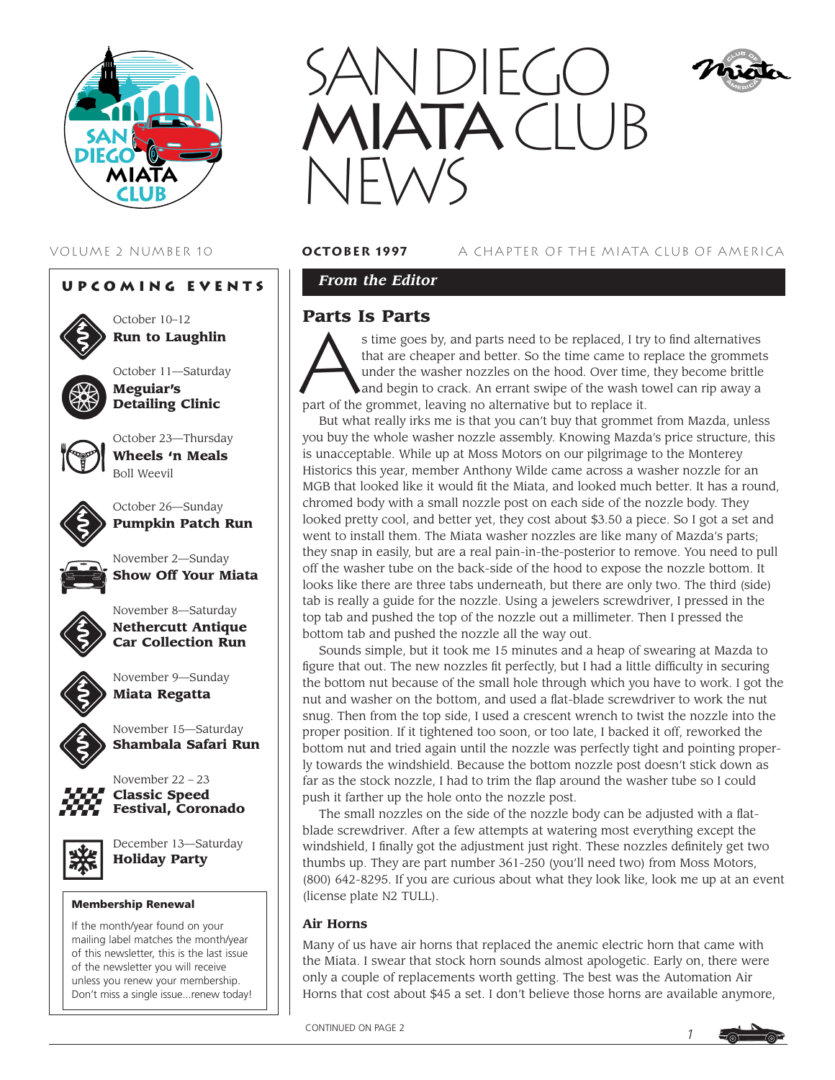





October 10–12 **Run to Laughlin**

October 11—Saturday **Meguiar's Detailing Clinic**



October 23—Thursday **Wheels 'n Meals** Boll Weevil



October 26—Sunday **Pumpkin Patch Run**

November 2—Sunday **Show Off Your Miata**



November 8—Saturday



**Nethercutt Antique Car Collection Run**



November 9—Sunday **Miata Regatta**



November 22 – 23 **Classic Speed**

**Festival, Coronado**

November 15—Saturday **Shambala Safari Run**



December 13—Saturday **Holiday Party**

#### **Membership Renewal**

If the month/year found on your mailing label matches the month/year of this newsletter, this is the last issue of the newsletter you will receive unless you renew your membership. Don't miss a single issue...renew today!



VOLUME 2 NUMBER 10 **october 1997** A CHAPTER OF THE MIATA CLUB OF AMERICA

*From the Editor* 

# **Parts Is Parts**

s time goes by, and parts need to be replaced, I try to find alternatives that are cheaper and better. So the time came to replace the grommets under the washer nozzles on the hood. Over time, they become brittle and begin to crack. An errant swipe of the wash towel can rip away a part of the grommet, leaving no alternative but to replace it.

But what really irks me is that you can't buy that grommet from Mazda, unless you buy the whole washer nozzle assembly. Knowing Mazda's price structure, this is unacceptable. While up at Moss Motors on our pilgrimage to the Monterey Historics this year, member Anthony Wilde came across a washer nozzle for an MGB that looked like it would fit the Miata, and looked much better. It has a round, chromed body with a small nozzle post on each side of the nozzle body. They looked pretty cool, and better yet, they cost about \$3.50 a piece. So I got a set and went to install them. The Miata washer nozzles are like many of Mazda's parts; they snap in easily, but are a real pain-in-the-posterior to remove. You need to pull off the washer tube on the back-side of the hood to expose the nozzle bottom. It looks like there are three tabs underneath, but there are only two. The third (side) tab is really a guide for the nozzle. Using a jewelers screwdriver, I pressed in the top tab and pushed the top of the nozzle out a millimeter. Then I pressed the bottom tab and pushed the nozzle all the way out.

Sounds simple, but it took me 15 minutes and a heap of swearing at Mazda to figure that out. The new nozzles fit perfectly, but I had a little difficulty in securing the bottom nut because of the small hole through which you have to work. I got the nut and washer on the bottom, and used a flat-blade screwdriver to work the nut snug. Then from the top side, I used a crescent wrench to twist the nozzle into the proper position. If it tightened too soon, or too late, I backed it off, reworked the bottom nut and tried again until the nozzle was perfectly tight and pointing properly towards the windshield. Because the bottom nozzle post doesn't stick down as far as the stock nozzle, I had to trim the flap around the washer tube so I could push it farther up the hole onto the nozzle post.

The small nozzles on the side of the nozzle body can be adjusted with a flatblade screwdriver. After a few attempts at watering most everything except the windshield, I finally got the adjustment just right. These nozzles definitely get two thumbs up. They are part number 361-250 (you'll need two) from Moss Motors, (800) 642-8295. If you are curious about what they look like, look me up at an event (license plate N2 TULL).

## **Air Horns**

Many of us have air horns that replaced the anemic electric horn that came with the Miata. I swear that stock horn sounds almost apologetic. Early on, there were only a couple of replacements worth getting. The best was the Automation Air Horns that cost about \$45 a set. I don't believe those horns are available anymore,

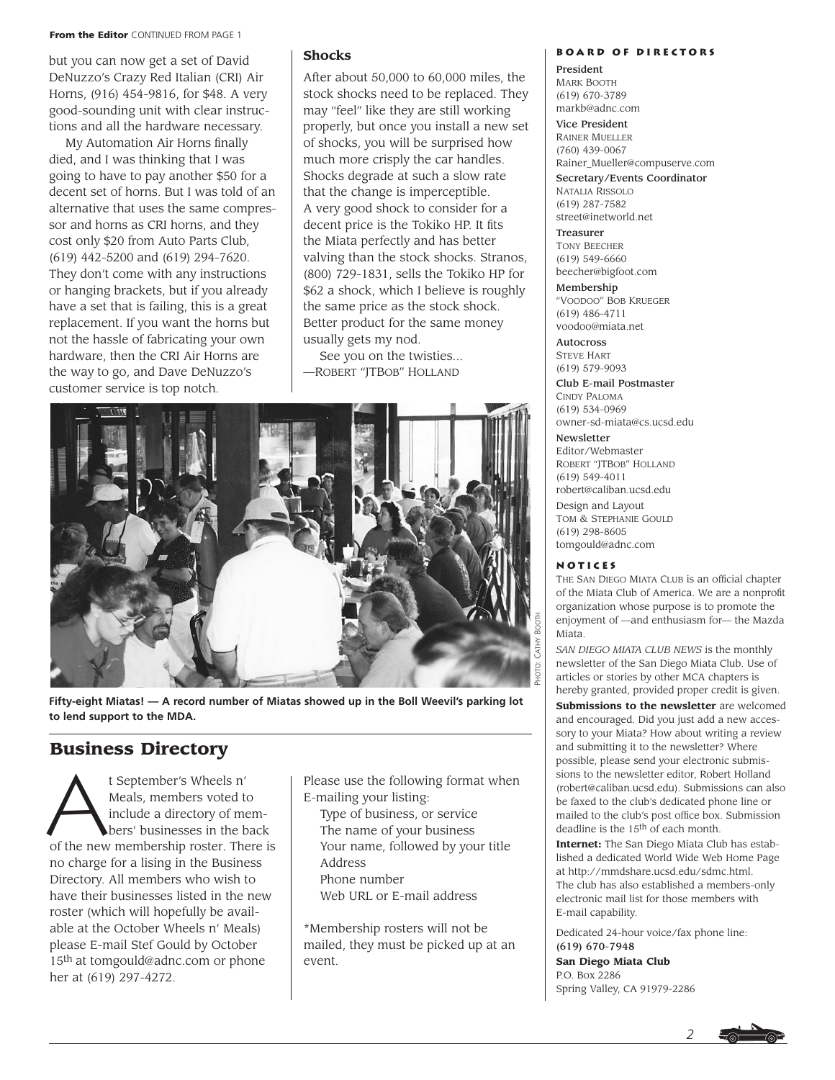#### **From the Editor** CONTINUED FROM PAGE 1

but you can now get a set of David DeNuzzo's Crazy Red Italian (CRI) Air Horns, (916) 454-9816, for \$48. A very good-sounding unit with clear instructions and all the hardware necessary.

My Automation Air Horns finally died, and I was thinking that I was going to have to pay another \$50 for a decent set of horns. But I was told of an alternative that uses the same compressor and horns as CRI horns, and they cost only \$20 from Auto Parts Club, (619) 442-5200 and (619) 294-7620. They don't come with any instructions or hanging brackets, but if you already have a set that is failing, this is a great replacement. If you want the horns but not the hassle of fabricating your own hardware, then the CRI Air Horns are the way to go, and Dave DeNuzzo's customer service is top notch.

# **Shocks**

After about 50,000 to 60,000 miles, the stock shocks need to be replaced. They may "feel" like they are still working properly, but once you install a new set of shocks, you will be surprised how much more crisply the car handles. Shocks degrade at such a slow rate that the change is imperceptible. A very good shock to consider for a decent price is the Tokiko HP. It fits the Miata perfectly and has better valving than the stock shocks. Stranos, (800) 729-1831, sells the Tokiko HP for \$62 a shock, which I believe is roughly the same price as the stock shock. Better product for the same money usually gets my nod.

See you on the twisties... —ROBERT "JTBOB" HOLLAND



**Fifty-eight Miatas! — A record number of Miatas showed up in the Boll Weevil's parking lot to lend support to the MDA.** 

# **Business Directory**

t September's Wheels n'<br>Meals, members voted the include a directory of meals<br>bers' businesses in the b Meals, members voted to include a directory of members' businesses in the back of the new membership roster. There is no charge for a lising in the Business Directory. All members who wish to have their businesses listed in the new roster (which will hopefully be available at the October Wheels n' Meals) please E-mail Stef Gould by October 15th at tomgould@adnc.com or phone her at (619) 297-4272.

Please use the following format when E-mailing your listing:

Type of business, or service The name of your business Your name, followed by your title Address Phone number Web URL or E-mail address

\*Membership rosters will not be mailed, they must be picked up at an event.

#### **Board of Directors**

President MARK BOOTH (619) 670-3789 markb@adnc.com

Vice President RAINER MUELLER (760) 439-0067 Rainer\_Mueller@compuserve.com

Secretary/Events Coordinator NATALIA RISSOLO (619) 287-7582 street@inetworld.net

Treasurer TONY BEECHER (619) 549-6660 beecher@bigfoot.com

Membership "VOODOO" BOB KRUEGER (619) 486-4711 voodoo@miata.net

Autocross STEVE HART (619) 579-9093

Club E-mail Postmaster CINDY PALOMA (619) 534-0969 owner-sd-miata@cs.ucsd.edu

**Newsletter** 

Editor/Webmaster ROBERT "JTBOB" HOLLAND (619) 549-4011 robert@caliban.ucsd.edu

Design and Layout TOM & STEPHANIE GOULD (619) 298-8605 tomgould@adnc.com

#### **Notices**

THE SAN DIEGO MIATA CLUB is an official chapter of the Miata Club of America. We are a nonprofit organization whose purpose is to promote the enjoyment of —and enthusiasm for— the Mazda Miata.

*SAN DIEGO MIATA CLUB NEWS* is the monthly newsletter of the San Diego Miata Club. Use of articles or stories by other MCA chapters is hereby granted, provided proper credit is given.

**Submissions to the newsletter** are welcomed and encouraged. Did you just add a new accessory to your Miata? How about writing a review and submitting it to the newsletter? Where possible, please send your electronic submissions to the newsletter editor, Robert Holland (robert@caliban.ucsd.edu). Submissions can also be faxed to the club's dedicated phone line or mailed to the club's post office box. Submission deadline is the 15th of each month.

**Internet:** The San Diego Miata Club has established a dedicated World Wide Web Home Page at http://mmdshare.ucsd.edu/sdmc.html. The club has also established a members-only electronic mail list for those members with E-mail capability.

Dedicated 24-hour voice/fax phone line: (619) 670-7948

**San Diego Miata Club** P.O. Box 2286 Spring Valley, CA 91979-2286

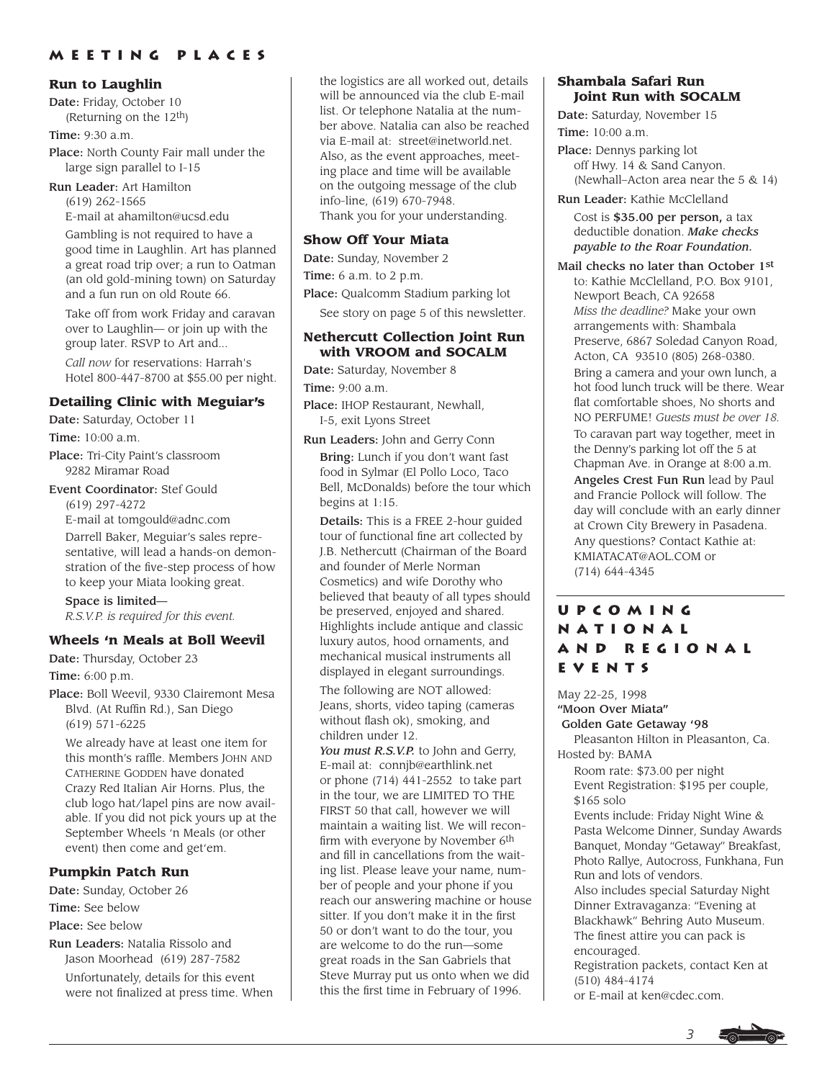# **Meeting Places**

### **Run to Laughlin**

Date: Friday, October 10 (Returning on the 12th)

Time: 9:30 a.m.

Place: North County Fair mall under the large sign parallel to I-15

Run Leader: Art Hamilton (619) 262-1565

E-mail at ahamilton@ucsd.edu

Gambling is not required to have a good time in Laughlin. Art has planned a great road trip over; a run to Oatman (an old gold-mining town) on Saturday and a fun run on old Route 66.

Take off from work Friday and caravan over to Laughlin— or join up with the group later. RSVP to Art and...

*Call now* for reservations: Harrah's Hotel 800-447-8700 at \$55.00 per night.

### **Detailing Clinic with Meguiar's**

Date: Saturday, October 11

Time:  $10:00$  a.m.

Place: Tri-City Paint's classroom 9282 Miramar Road

Event Coordinator: Stef Gould (619) 297-4272

E-mail at tomgould@adnc.com Darrell Baker, Meguiar's sales representative, will lead a hands-on demonstration of the five-step process of how to keep your Miata looking great.

Space is limited— *R.S.V.P. is required for this event.*

## **Wheels 'n Meals at Boll Weevil**

Date: Thursday, October 23 Time: 6:00 p.m.

Place: Boll Weevil, 9330 Clairemont Mesa Blvd. (At Ruffin Rd.), San Diego (619) 571-6225

We already have at least one item for this month's raffle. Members JOHN AND CATHERINE GODDEN have donated Crazy Red Italian Air Horns. Plus, the club logo hat/lapel pins are now available. If you did not pick yours up at the September Wheels 'n Meals (or other event) then come and get'em.

## **Pumpkin Patch Run**

Date: Sunday, October 26 Time: See below Place: See below

Run Leaders: Natalia Rissolo and Jason Moorhead (619) 287-7582

Unfortunately, details for this event were not finalized at press time. When the logistics are all worked out, details will be announced via the club E-mail list. Or telephone Natalia at the number above. Natalia can also be reached via E-mail at: street@inetworld.net. Also, as the event approaches, meeting place and time will be available on the outgoing message of the club info-line, (619) 670-7948. Thank you for your understanding.

## **Show Off Your Miata**

Date: Sunday, November 2

Time: 6 a.m. to 2 p.m.

Place: Qualcomm Stadium parking lot

See story on page 5 of this newsletter.

#### **Nethercutt Collection Joint Run with VROOM and SOCALM**

Date: Saturday, November 8

Time: 9:00 a.m.

Place: IHOP Restaurant, Newhall, I-5, exit Lyons Street

Run Leaders: John and Gerry Conn Bring: Lunch if you don't want fast food in Sylmar (El Pollo Loco, Taco Bell, McDonalds) before the tour which begins at 1:15.

Details: This is a FREE 2-hour guided tour of functional fine art collected by J.B. Nethercutt (Chairman of the Board and founder of Merle Norman Cosmetics) and wife Dorothy who believed that beauty of all types should be preserved, enjoyed and shared. Highlights include antique and classic luxury autos, hood ornaments, and mechanical musical instruments all displayed in elegant surroundings.

The following are NOT allowed: Jeans, shorts, video taping (cameras without flash ok), smoking, and children under 12.

*You must R.S.V.P.* to John and Gerry, E-mail at: connjb@earthlink.net or phone (714) 441-2552 to take part in the tour, we are LIMITED TO THE FIRST 50 that call, however we will maintain a waiting list. We will reconfirm with everyone by November 6<sup>th</sup> and fill in cancellations from the waiting list. Please leave your name, number of people and your phone if you reach our answering machine or house sitter. If you don't make it in the first 50 or don't want to do the tour, you are welcome to do the run—some great roads in the San Gabriels that Steve Murray put us onto when we did this the first time in February of 1996.

### **Shambala Safari Run Joint Run with SOCALM**

Date: Saturday, November 15

Time: 10:00 a.m.

Place: Dennys parking lot off Hwy. 14 & Sand Canyon. (Newhall–Acton area near the 5 & 14)

Run Leader: Kathie McClelland

Cost is \$35.00 per person, a tax deductible donation. *Make checks payable to the Roar Foundation.*

Mail checks no later than October 1st to: Kathie McClelland, P.O. Box 9101, Newport Beach, CA 92658 *Miss the deadline?* Make your own arrangements with: Shambala Preserve, 6867 Soledad Canyon Road, Acton, CA 93510 (805) 268-0380. Bring a camera and your own lunch, a hot food lunch truck will be there. Wear flat comfortable shoes, No shorts and NO PERFUME! *Guests must be over 18.* To caravan part way together, meet in the Denny's parking lot off the 5 at Chapman Ave. in Orange at 8:00 a.m. Angeles Crest Fun Run lead by Paul and Francie Pollock will follow. The day will conclude with an early dinner at Crown City Brewery in Pasadena. Any questions? Contact Kathie at: KMIATACAT@AOL.COM or (714) 644-4345

# **Upcoming National and Regional EVENTS**

May 22-25, 1998 "Moon Over Miata" Golden Gate Getaway '98 Pleasanton Hilton in Pleasanton, Ca. Hosted by: BAMA Room rate: \$73.00 per night Event Registration: \$195 per couple, \$165 solo Events include: Friday Night Wine & Pasta Welcome Dinner, Sunday Awards Banquet, Monday "Getaway" Breakfast, Photo Rallye, Autocross, Funkhana, Fun Run and lots of vendors. Also includes special Saturday Night Dinner Extravaganza: "Evening at Blackhawk" Behring Auto Museum. The finest attire you can pack is encouraged. Registration packets, contact Ken at (510) 484-4174 or E-mail at ken@cdec.com.

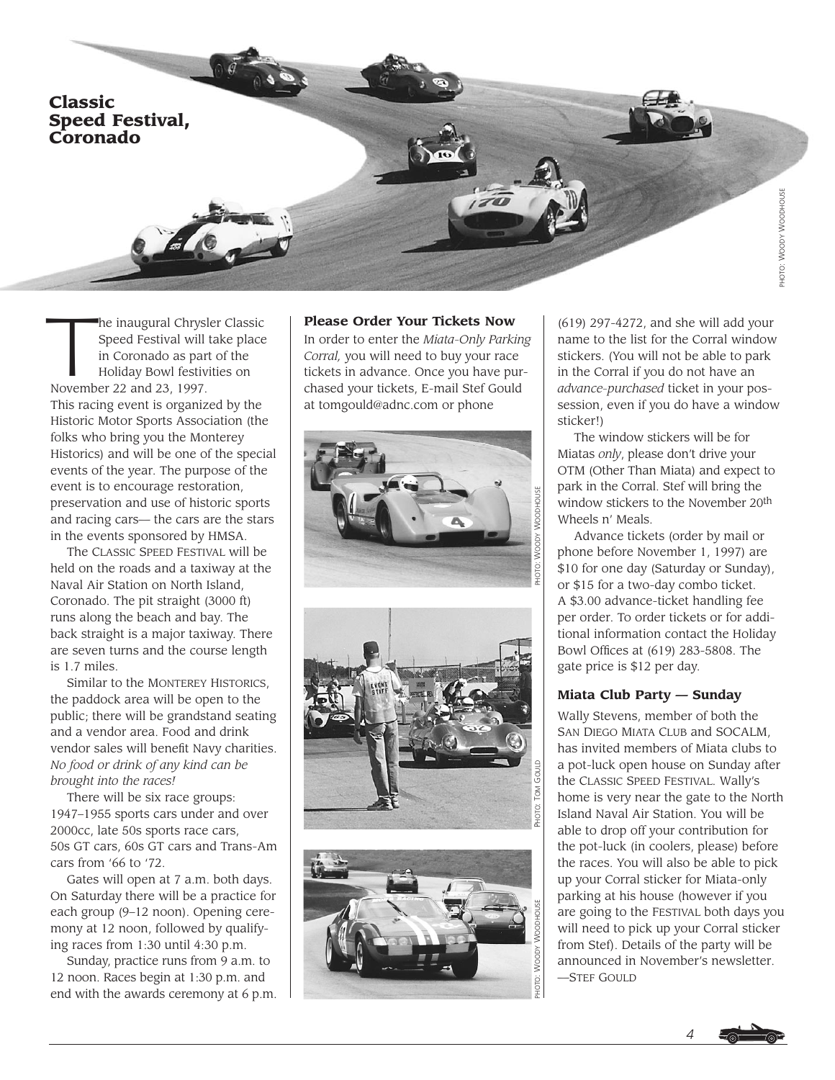

The inaugural Chrysler Classic<br>Speed Festival will take place<br>in Coronado as part of the<br>Holiday Bowl festivities on Speed Festival will take place in Coronado as part of the Holiday Bowl festivities on November 22 and 23, 1997. This racing event is organized by the Historic Motor Sports Association (the folks who bring you the Monterey Historics) and will be one of the special events of the year. The purpose of the event is to encourage restoration, preservation and use of historic sports and racing cars— the cars are the stars in the events sponsored by HMSA.

The CLASSIC SPEED FESTIVAL will be held on the roads and a taxiway at the Naval Air Station on North Island, Coronado. The pit straight (3000 ft) runs along the beach and bay. The back straight is a major taxiway. There are seven turns and the course length is 1.7 miles.

Similar to the MONTEREY HISTORICS, the paddock area will be open to the public; there will be grandstand seating and a vendor area. Food and drink vendor sales will benefit Navy charities. *No food or drink of any kind can be brought into the races!*

There will be six race groups: 1947–1955 sports cars under and over 2000cc, late 50s sports race cars, 50s GT cars, 60s GT cars and Trans-Am cars from '66 to '72.

Gates will open at 7 a.m. both days. On Saturday there will be a practice for each group (9–12 noon). Opening ceremony at 12 noon, followed by qualifying races from 1:30 until 4:30 p.m.

Sunday, practice runs from 9 a.m. to 12 noon. Races begin at 1:30 p.m. and end with the awards ceremony at 6 p.m.

### **Please Order Your Tickets Now**

In order to enter the *Miata-Only Parking Corral,* you will need to buy your race tickets in advance. Once you have purchased your tickets, E-mail Stef Gould at tomgould@adnc.com or phone







(619) 297-4272, and she will add your name to the list for the Corral window stickers. (You will not be able to park in the Corral if you do not have an *advance-purchased* ticket in your possession, even if you do have a window sticker!)

The window stickers will be for Miatas *only*, please don't drive your OTM (Other Than Miata) and expect to park in the Corral. Stef will bring the window stickers to the November 20th Wheels n' Meals.

Advance tickets (order by mail or phone before November 1, 1997) are \$10 for one day (Saturday or Sunday), or \$15 for a two-day combo ticket. A \$3.00 advance-ticket handling fee per order. To order tickets or for additional information contact the Holiday Bowl Offices at (619) 283-5808. The gate price is \$12 per day.

#### **Miata Club Party — Sunday**

Wally Stevens, member of both the SAN DIEGO MIATA CLUB and SOCALM, has invited members of Miata clubs to a pot-luck open house on Sunday after the CLASSIC SPEED FESTIVAL. Wally's home is very near the gate to the North Island Naval Air Station. You will be able to drop off your contribution for the pot-luck (in coolers, please) before the races. You will also be able to pick up your Corral sticker for Miata-only parking at his house (however if you are going to the FESTIVAL both days you will need to pick up your Corral sticker from Stef). Details of the party will be announced in November's newsletter. —STEF GOULD

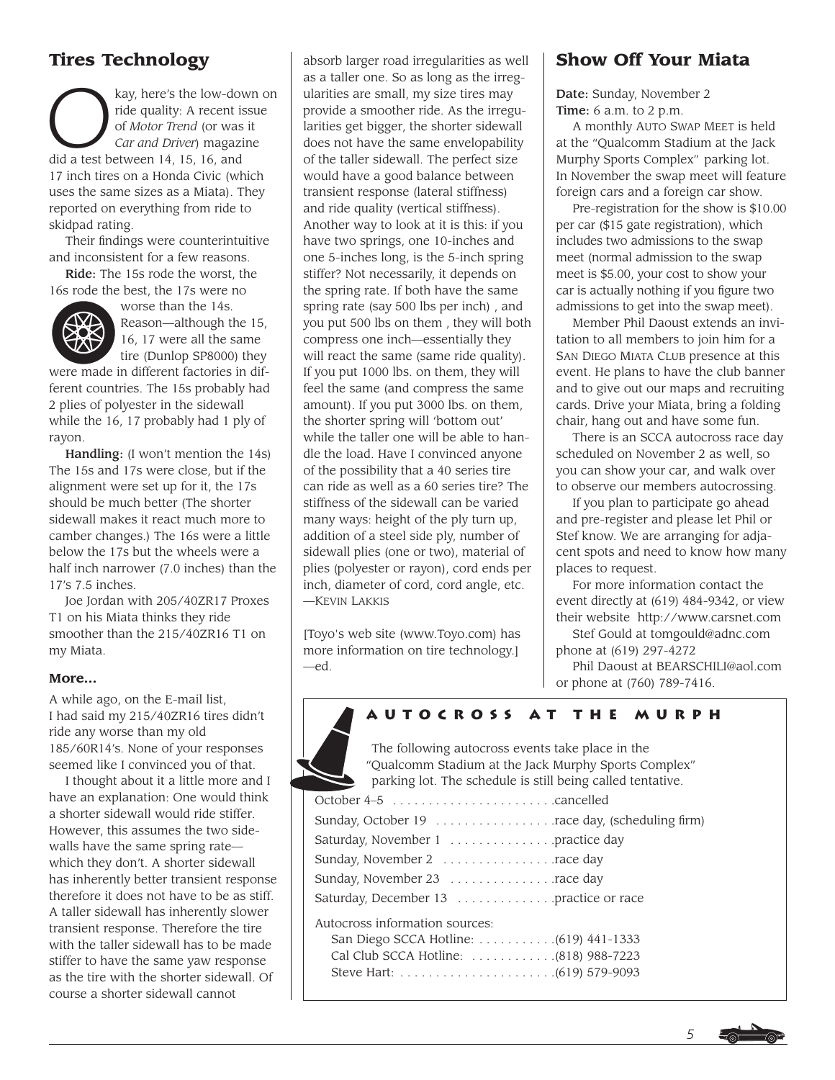# **Tires Technology**

Example 20011101083<br>
Ray, here's the low-down on<br>
ride quality: A recent issue<br>
of Motor Trend (or was it<br>
Car and Driver) magazine ride quality: A recent issue of *Motor Trend* (or was it *Car and Driver*) magazine did a test between 14, 15, 16, and 17 inch tires on a Honda Civic (which uses the same sizes as a Miata). They reported on everything from ride to skidpad rating.

Their findings were counterintuitive and inconsistent for a few reasons.

Ride: The 15s rode the worst, the 16s rode the best, the 17s were no



worse than the 14s. Reason—although the 15, 16, 17 were all the same tire (Dunlop SP8000) they

were made in different factories in different countries. The 15s probably had 2 plies of polyester in the sidewall while the 16, 17 probably had 1 ply of rayon.

Handling: (I won't mention the 14s) The 15s and 17s were close, but if the alignment were set up for it, the 17s should be much better (The shorter sidewall makes it react much more to camber changes.) The 16s were a little below the 17s but the wheels were a half inch narrower (7.0 inches) than the 17's 7.5 inches.

Joe Jordan with 205/40ZR17 Proxes T1 on his Miata thinks they ride smoother than the 215/40ZR16 T1 on my Miata.

#### **More...**

A while ago, on the E-mail list, I had said my 215/40ZR16 tires didn't ride any worse than my old 185/60R14's. None of your responses seemed like I convinced you of that.

I thought about it a little more and I have an explanation: One would think a shorter sidewall would ride stiffer. However, this assumes the two sidewalls have the same spring rate which they don't. A shorter sidewall has inherently better transient response therefore it does not have to be as stiff. A taller sidewall has inherently slower transient response. Therefore the tire with the taller sidewall has to be made stiffer to have the same yaw response as the tire with the shorter sidewall. Of course a shorter sidewall cannot

absorb larger road irregularities as well as a taller one. So as long as the irregularities are small, my size tires may provide a smoother ride. As the irregularities get bigger, the shorter sidewall does not have the same envelopability of the taller sidewall. The perfect size would have a good balance between transient response (lateral stiffness) and ride quality (vertical stiffness). Another way to look at it is this: if you have two springs, one 10-inches and one 5-inches long, is the 5-inch spring stiffer? Not necessarily, it depends on the spring rate. If both have the same spring rate (say 500 lbs per inch) , and you put 500 lbs on them , they will both compress one inch—essentially they will react the same (same ride quality). If you put 1000 lbs. on them, they will feel the same (and compress the same amount). If you put 3000 lbs. on them, the shorter spring will 'bottom out' while the taller one will be able to handle the load. Have I convinced anyone of the possibility that a 40 series tire can ride as well as a 60 series tire? The stiffness of the sidewall can be varied many ways: height of the ply turn up, addition of a steel side ply, number of sidewall plies (one or two), material of plies (polyester or rayon), cord ends per inch, diameter of cord, cord angle, etc. —KEVIN LAKKIS

[Toyo's web site (www.Toyo.com) has more information on tire technology.] —ed.

# **Show Off Your Miata**

Date: Sunday, November 2 Time: 6 a.m. to 2 p.m.

A monthly AUTO SWAP MEET is held at the "Qualcomm Stadium at the Jack Murphy Sports Complex" parking lot. In November the swap meet will feature foreign cars and a foreign car show.

Pre-registration for the show is \$10.00 per car (\$15 gate registration), which includes two admissions to the swap meet (normal admission to the swap meet is \$5.00, your cost to show your car is actually nothing if you figure two admissions to get into the swap meet).

Member Phil Daoust extends an invitation to all members to join him for a SAN DIEGO MIATA CLUB presence at this event. He plans to have the club banner and to give out our maps and recruiting cards. Drive your Miata, bring a folding chair, hang out and have some fun.

There is an SCCA autocross race day scheduled on November 2 as well, so you can show your car, and walk over to observe our members autocrossing.

If you plan to participate go ahead and pre-register and please let Phil or Stef know. We are arranging for adjacent spots and need to know how many places to request.

For more information contact the event directly at (619) 484-9342, or view their website http://www.carsnet.com Stef Gould at tomgould@adnc.com

phone at (619) 297-4272 Phil Daoust at BEARSCHILI@aol.com

or phone at (760) 789-7416.



# **Autocross at the Murph**

The following autocross events take place in the "Qualcomm Stadium at the Jack Murphy Sports Complex" parking lot. The schedule is still being called tentative.

| Saturday, November 1 practice day      |  |
|----------------------------------------|--|
|                                        |  |
| Sunday, November 23 race day           |  |
| Saturday, December 13 practice or race |  |
| Autocross information sources:         |  |

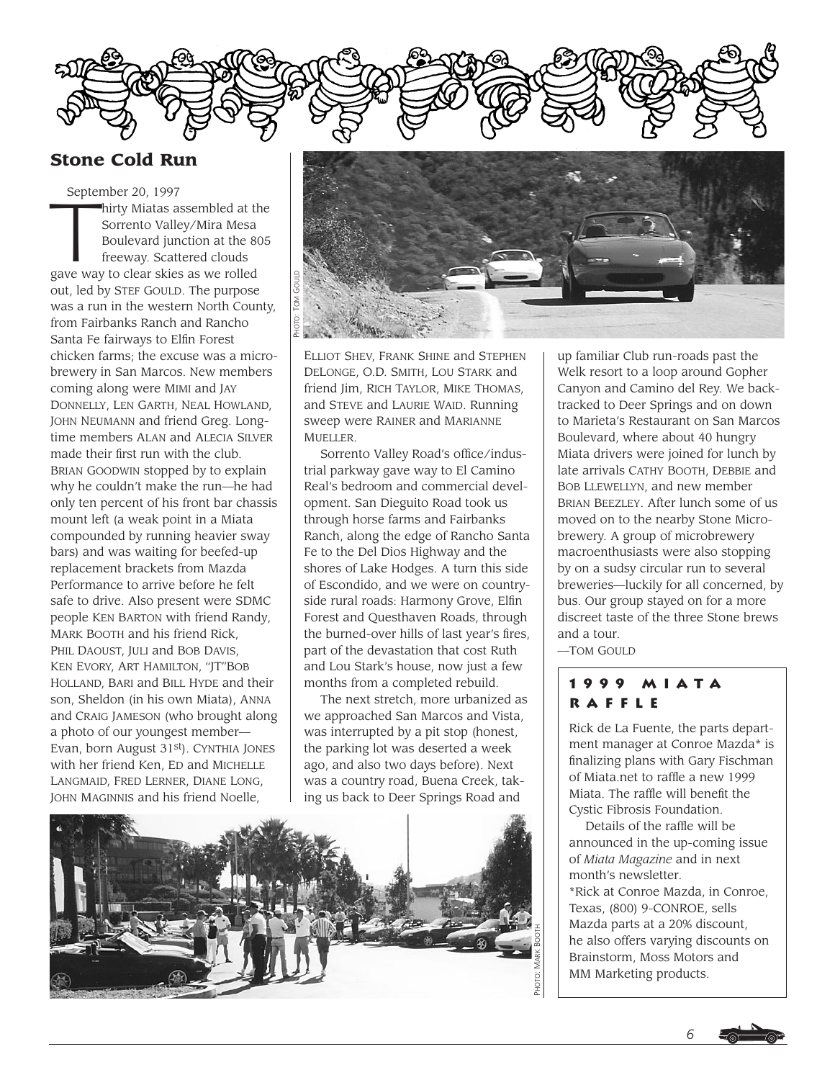

# **Stone Cold Run**

September 20, 1997 September 20, 1997<br>
hirty Miatas assembled at the<br>
Sorrento Valley/Mira Mesa<br>
Boulevard junction at the 805<br>
freeway. Scattered clouds Sorrento Valley/Mira Mesa Boulevard junction at the 805 freeway. Scattered clouds gave way to clear skies as we rolled out, led by STEF GOULD. The purpose was a run in the western North County, from Fairbanks Ranch and Rancho Santa Fe fairways to Elfin Forest chicken farms; the excuse was a microbrewery in San Marcos. New members coming along were MIMI and JAY DONNELLY, LEN GARTH, NEAL HOWLAND, JOHN NEUMANN and friend Greg. Longtime members ALAN and ALECIA SILVER made their first run with the club. BRIAN GOODWIN stopped by to explain why he couldn't make the run—he had only ten percent of his front bar chassis mount left (a weak point in a Miata compounded by running heavier sway bars) and was waiting for beefed-up replacement brackets from Mazda Performance to arrive before he felt safe to drive. Also present were SDMC people KEN BARTON with friend Randy, MARK BOOTH and his friend Rick, PHIL DAOUST, JULI and BOB DAVIS, KEN EVORY, ART HAMILTON, "JT"BOB HOLLAND, BARI and BILL HYDE and their son, Sheldon (in his own Miata), ANNA and CRAIG JAMESON (who brought along a photo of our youngest member— Evan, born August 31st). CYNTHIA JONES with her friend Ken, ED and MICHELLE LANGMAID, FRED LERNER, DIANE LONG, JOHN MAGINNIS and his friend Noelle,



ELLIOT SHEV, FRANK SHINE and STEPHEN DELONGE, O.D. SMITH, LOU STARK and friend Jim, RICH TAYLOR, MIKE THOMAS, and STEVE and LAURIE WAID. Running sweep were RAINER and MARIANNE MUELLER.

Sorrento Valley Road's office/industrial parkway gave way to El Camino Real's bedroom and commercial development. San Dieguito Road took us through horse farms and Fairbanks Ranch, along the edge of Rancho Santa Fe to the Del Dios Highway and the shores of Lake Hodges. A turn this side of Escondido, and we were on countryside rural roads: Harmony Grove, Elfin Forest and Questhaven Roads, through the burned-over hills of last year's fires, part of the devastation that cost Ruth and Lou Stark's house, now just a few months from a completed rebuild.

The next stretch, more urbanized as we approached San Marcos and Vista, was interrupted by a pit stop (honest, the parking lot was deserted a week ago, and also two days before). Next was a country road, Buena Creek, taking us back to Deer Springs Road and



up familiar Club run-roads past the Welk resort to a loop around Gopher Canyon and Camino del Rey. We backtracked to Deer Springs and on down to Marieta's Restaurant on San Marcos Boulevard, where about 40 hungry Miata drivers were joined for lunch by late arrivals CATHY BOOTH, DEBBIE and BOB LLEWELLYN, and new member BRIAN BEEZLEY. After lunch some of us moved on to the nearby Stone Microbrewery. A group of microbrewery macroenthusiasts were also stopping by on a sudsy circular run to several breweries—luckily for all concerned, by bus. Our group stayed on for a more discreet taste of the three Stone brews and a tour.

—TOM GOULD

# **1999 Miata Raffle**

Rick de La Fuente, the parts department manager at Conroe Mazda\* is finalizing plans with Gary Fischman of Miata.net to raffle a new 1999 Miata. The raffle will benefit the Cystic Fibrosis Foundation.

Details of the raffle will be announced in the up-coming issue of *Miata Magazine* and in next month's newsletter.

\*Rick at Conroe Mazda, in Conroe, Texas, (800) 9-CONROE, sells Mazda parts at a 20% discount, he also offers varying discounts on Brainstorm, Moss Motors and MM Marketing products.

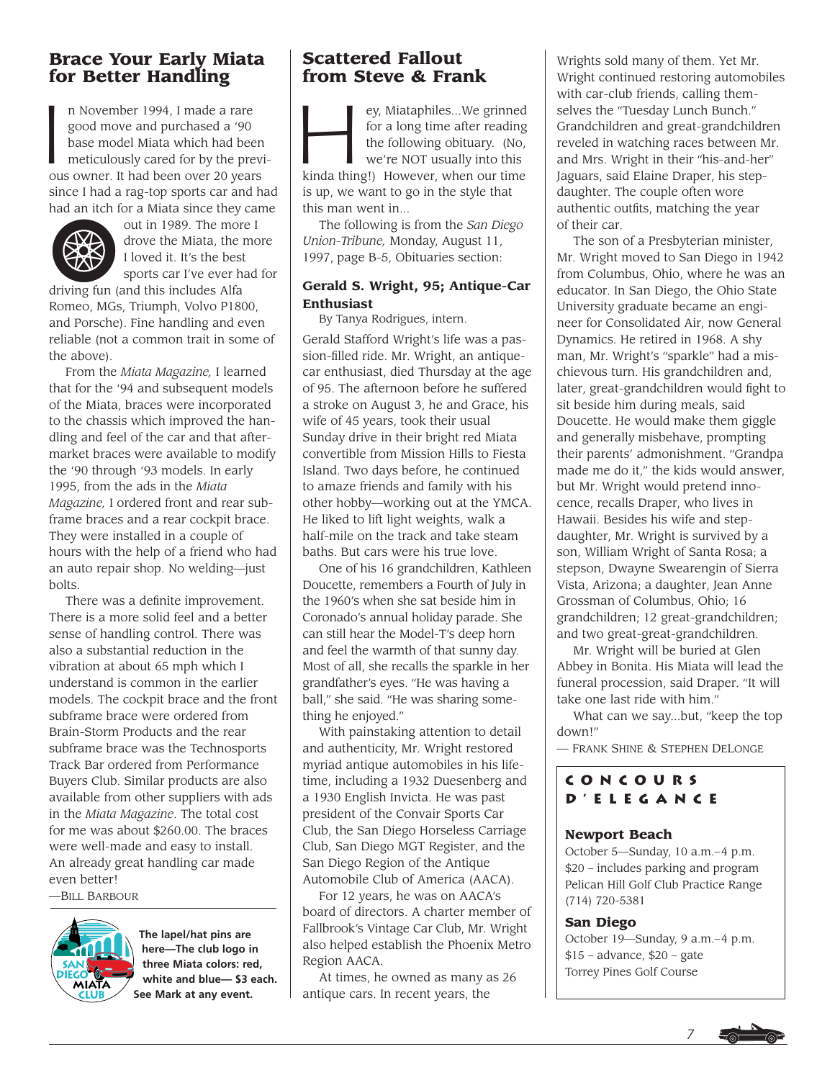# **Brace Your Early Miata for Better Handling**

 $\overline{\phantom{a}}$ n November 1994, I made a rare good move and purchased a '90 base model Miata which had been meticulously cared for by the previous owner. It had been over 20 years since I had a rag-top sports car and had had an itch for a Miata since they came



out in 1989. The more I drove the Miata, the more I loved it. It's the best sports car I've ever had for

driving fun (and this includes Alfa Romeo, MGs, Triumph, Volvo P1800, and Porsche). Fine handling and even reliable (not a common trait in some of the above).

From the *Miata Magazine,* I learned that for the '94 and subsequent models of the Miata, braces were incorporated to the chassis which improved the handling and feel of the car and that aftermarket braces were available to modify the '90 through '93 models. In early 1995, from the ads in the *Miata Magazine,* I ordered front and rear subframe braces and a rear cockpit brace. They were installed in a couple of hours with the help of a friend who had an auto repair shop. No welding—just bolts.

There was a definite improvement. There is a more solid feel and a better sense of handling control. There was also a substantial reduction in the vibration at about 65 mph which I understand is common in the earlier models. The cockpit brace and the front subframe brace were ordered from Brain-Storm Products and the rear subframe brace was the Technosports Track Bar ordered from Performance Buyers Club. Similar products are also available from other suppliers with ads in the *Miata Magazine*. The total cost for me was about \$260.00. The braces were well-made and easy to install. An already great handling car made even better!

—BILL BARBOUR



**The lapel/hat pins are here—The club logo in three Miata colors: red, white and blue— \$3 each. See Mark at any event.**

# **Scattered Fallout from Steve & Frank**

ey, Miataphiles...We grinned<br>for a long time after reading<br>the following obituary. (No,<br>we're NOT usually into this for a long time after reading the following obituary. (No, we're NOT usually into this kinda thing!) However, when our time is up, we want to go in the style that this man went in...

The following is from the *San Diego Union-Tribune,* Monday, August 11, 1997, page B-5, Obituaries section:

# **Gerald S. Wright, 95; Antique-Car Enthusiast**

By Tanya Rodrigues, intern. Gerald Stafford Wright's life was a passion-filled ride. Mr. Wright, an antiquecar enthusiast, died Thursday at the age of 95. The afternoon before he suffered a stroke on August 3, he and Grace, his wife of 45 years, took their usual Sunday drive in their bright red Miata convertible from Mission Hills to Fiesta Island. Two days before, he continued to amaze friends and family with his other hobby—working out at the YMCA. He liked to lift light weights, walk a half-mile on the track and take steam baths. But cars were his true love.

One of his 16 grandchildren, Kathleen Doucette, remembers a Fourth of July in the 1960's when she sat beside him in Coronado's annual holiday parade. She can still hear the Model-T's deep horn and feel the warmth of that sunny day. Most of all, she recalls the sparkle in her grandfather's eyes. "He was having a ball," she said. "He was sharing something he enjoyed."

With painstaking attention to detail and authenticity, Mr. Wright restored myriad antique automobiles in his lifetime, including a 1932 Duesenberg and a 1930 English Invicta. He was past president of the Convair Sports Car Club, the San Diego Horseless Carriage Club, San Diego MGT Register, and the San Diego Region of the Antique Automobile Club of America (AACA).

For 12 years, he was on AACA's board of directors. A charter member of Fallbrook's Vintage Car Club, Mr. Wright also helped establish the Phoenix Metro Region AACA.

At times, he owned as many as 26 antique cars. In recent years, the

Wrights sold many of them. Yet Mr. Wright continued restoring automobiles with car-club friends, calling themselves the "Tuesday Lunch Bunch." Grandchildren and great-grandchildren reveled in watching races between Mr. and Mrs. Wright in their "his-and-her" Jaguars, said Elaine Draper, his stepdaughter. The couple often wore authentic outfits, matching the year of their car.

The son of a Presbyterian minister, Mr. Wright moved to San Diego in 1942 from Columbus, Ohio, where he was an educator. In San Diego, the Ohio State University graduate became an engineer for Consolidated Air, now General Dynamics. He retired in 1968. A shy man, Mr. Wright's "sparkle" had a mischievous turn. His grandchildren and, later, great-grandchildren would fight to sit beside him during meals, said Doucette. He would make them giggle and generally misbehave, prompting their parents' admonishment. "Grandpa made me do it," the kids would answer, but Mr. Wright would pretend innocence, recalls Draper, who lives in Hawaii. Besides his wife and stepdaughter, Mr. Wright is survived by a son, William Wright of Santa Rosa; a stepson, Dwayne Swearengin of Sierra Vista, Arizona; a daughter, Jean Anne Grossman of Columbus, Ohio; 16 grandchildren; 12 great-grandchildren; and two great-great-grandchildren.

Mr. Wright will be buried at Glen Abbey in Bonita. His Miata will lead the funeral procession, said Draper. "It will take one last ride with him."

What can we say...but, "keep the top down!"

— FRANK SHINE & STEPHEN DELONGE

# **Concours d'Elegance**

## **Newport Beach**

October 5—Sunday, 10 a.m.–4 p.m. \$20 – includes parking and program Pelican Hill Golf Club Practice Range (714) 720-5381

## **San Diego**

October 19—Sunday, 9 a.m.–4 p.m.  $$15$  – advance,  $$20$  – gate Torrey Pines Golf Course

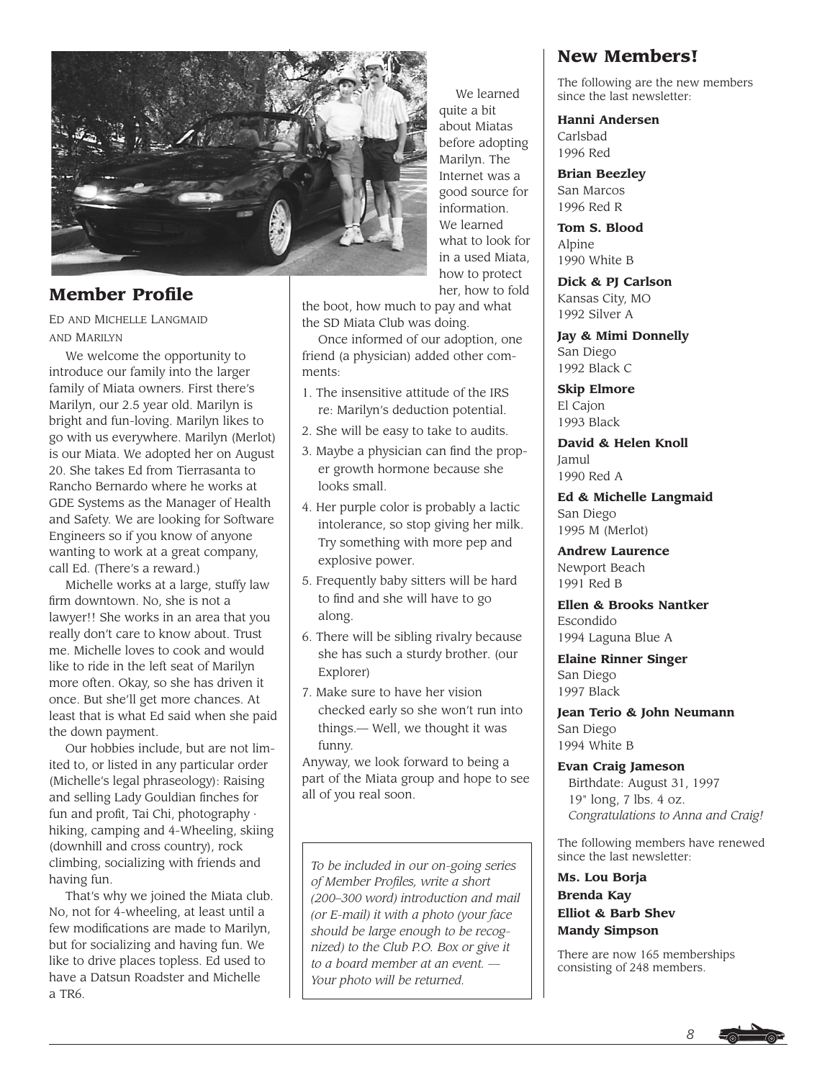

# **Member Profile**

ED AND MICHELLE LANGMAID AND MARILYN

We welcome the opportunity to introduce our family into the larger family of Miata owners. First there's Marilyn, our 2.5 year old. Marilyn is bright and fun-loving. Marilyn likes to go with us everywhere. Marilyn (Merlot) is our Miata. We adopted her on August 20. She takes Ed from Tierrasanta to Rancho Bernardo where he works at GDE Systems as the Manager of Health and Safety. We are looking for Software Engineers so if you know of anyone wanting to work at a great company, call Ed. (There's a reward.)

Michelle works at a large, stuffy law firm downtown. No, she is not a lawyer!! She works in an area that you really don't care to know about. Trust me. Michelle loves to cook and would like to ride in the left seat of Marilyn more often. Okay, so she has driven it once. But she'll get more chances. At least that is what Ed said when she paid the down payment.

Our hobbies include, but are not limited to, or listed in any particular order (Michelle's legal phraseology): Raising and selling Lady Gouldian finches for fun and profit, Tai Chi, photography · hiking, camping and 4-Wheeling, skiing (downhill and cross country), rock climbing, socializing with friends and having fun.

That's why we joined the Miata club. No, not for 4-wheeling, at least until a few modifications are made to Marilyn, but for socializing and having fun. We like to drive places topless. Ed used to have a Datsun Roadster and Michelle a TR6.

We learned quite a bit about Miatas before adopting Marilyn. The Internet was a good source for information. We learned what to look for in a used Miata, how to protect her, how to fold

the boot, how much to pay and what the SD Miata Club was doing.

Once informed of our adoption, one friend (a physician) added other comments:

- 1. The insensitive attitude of the IRS re: Marilyn's deduction potential.
- 2. She will be easy to take to audits.
- 3. Maybe a physician can find the proper growth hormone because she looks small.
- 4. Her purple color is probably a lactic intolerance, so stop giving her milk. Try something with more pep and explosive power.
- 5. Frequently baby sitters will be hard to find and she will have to go along.
- 6. There will be sibling rivalry because she has such a sturdy brother. (our Explorer)
- 7. Make sure to have her vision checked early so she won't run into things.— Well, we thought it was funny.

Anyway, we look forward to being a part of the Miata group and hope to see all of you real soon.

*To be included in our on-going series of Member Profiles, write a short (200–300 word) introduction and mail (or E-mail) it with a photo (your face should be large enough to be recognized) to the Club P.O. Box or give it to a board member at an event. — Your photo will be returned.*

# **New Members!**

The following are the new members since the last newsletter:

**Hanni Andersen**

Carlsbad 1996 Red

**Brian Beezley** San Marcos 1996 Red R

**Tom S. Blood** Alpine 1990 White B

**Dick & PJ Carlson** Kansas City, MO 1992 Silver A

**Jay & Mimi Donnelly** San Diego 1992 Black C

**Skip Elmore** El Cajon 1993 Black

**David & Helen Knoll** Jamul 1990 Red A

**Ed & Michelle Langmaid** San Diego 1995 M (Merlot)

**Andrew Laurence** Newport Beach 1991 Red B

**Ellen & Brooks Nantker** Escondido 1994 Laguna Blue A

**Elaine Rinner Singer** San Diego 1997 Black

**Jean Terio & John Neumann** San Diego 1994 White B

**Evan Craig Jameson** Birthdate: August 31, 1997 19" long, 7 lbs. 4 oz. *Congratulations to Anna and Craig!*

The following members have renewed since the last newsletter:

**Ms. Lou Borja Brenda Kay Elliot & Barb Shev Mandy Simpson**

There are now 165 memberships consisting of 248 members.